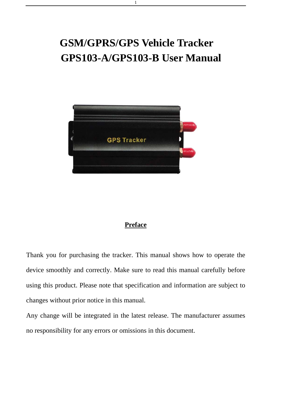# **GSM/GPRS/GPS Vehicle Tracker GPS103-A/GPS103-B User Manual**

1



# **Preface**

Thank you for purchasing the tracker. This manual shows how to operate the device smoothly and correctly. Make sure to read this manual carefully before using this product. Please note that specification and information are subject to changes without prior notice in this manual.

Any change will be integrated in the latest release. The manufacturer assumes no responsibility for any errors or omissions in this document.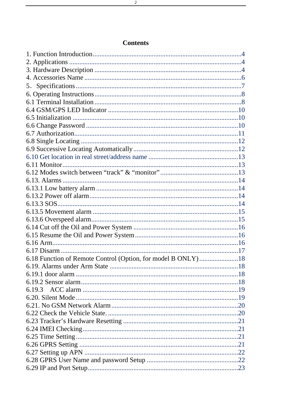| 6.18 Function of Remote Control (Option, for model B ONLY)18 |  |
|--------------------------------------------------------------|--|
|                                                              |  |
|                                                              |  |
|                                                              |  |
|                                                              |  |
|                                                              |  |
|                                                              |  |
|                                                              |  |
|                                                              |  |
|                                                              |  |
|                                                              |  |
|                                                              |  |
|                                                              |  |
|                                                              |  |
|                                                              |  |

# **Contents**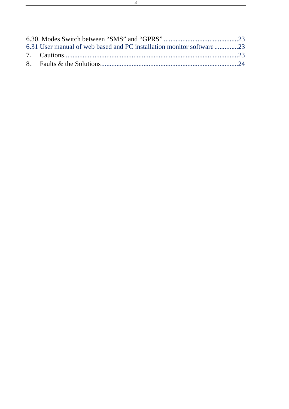| 6.31 User manual of web based and PC installation monitor software 23 |  |
|-----------------------------------------------------------------------|--|
|                                                                       |  |
|                                                                       |  |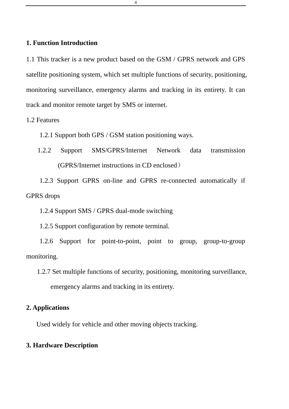# <span id="page-3-0"></span>**1. Function Introduction**

1.1 This tracker is a new product based on the GSM / GPRS network and GPS satellite positioning system, which set multiple functions of security, positioning, monitoring surveillance, emergency alarms and tracking in its entirety. It can track and monitor remote target by SMS or internet.

1.2 Features

1.2.1 Support both GPS / GSM station positioning ways.

1.2.2 Support SMS/GPRS/Internet Network data transmission (GPRS/Internet instructions in CD enclosed)

1.2.3 Support GPRS on-line and GPRS re-connected automatically if GPRS drops

1.2.4 Support SMS / GPRS dual-mode switching

1.2.5 Support configuration by remote terminal.

1.2.6 Support for point-to-point, point to group, group-to-group monitoring.

# **2. Applications**

Used widely for vehicle and other moving objects tracking.

# **3. Hardware Description**

4

<sup>1.2.7</sup> Set multiple functions of security, positioning, monitoring surveillance, emergency alarms and tracking in its entirety.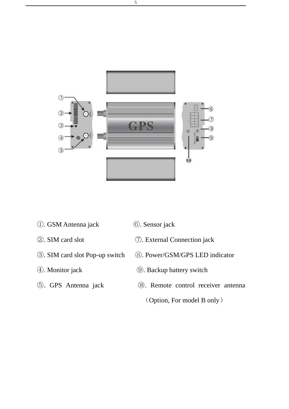

- . GSM Antenna jack ⑥. Sensor jack
- 
- 
- 
- 
- 
- . SIM card slot ⑦. External Connection jack
- . SIM card slot Pop-up switch ⑧. Power/GSM/GPS LED indicator
- . Monitor jack ⑨. Backup battery switch
- . GPS Antenna jack ⑩. Remote control receiver antenna
	- (Option, For model B only)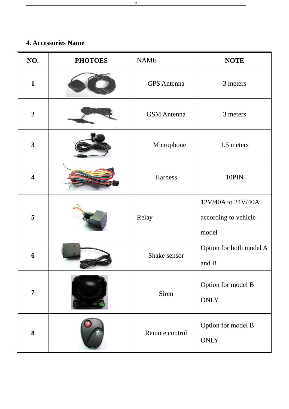# <span id="page-5-0"></span>**4. Accessories Name**

| NO.                     | <b>PHOTOES</b> | <b>NAME</b>        | <b>NOTE</b>                                         |
|-------------------------|----------------|--------------------|-----------------------------------------------------|
| $\mathbf{1}$            |                | <b>GPS</b> Antenna | 3 meters                                            |
| $\overline{2}$          |                | <b>GSM</b> Antenna | 3 meters                                            |
| $\overline{\mathbf{3}}$ |                | Microphone         | 1.5 meters                                          |
| $\overline{\mathbf{4}}$ |                | Harness            | 10PIN                                               |
| 5                       |                | Relay              | 12V/40A to 24V/40A<br>according to vehicle<br>model |
| 6                       |                | Shake sensor       | Option for both model A<br>and B                    |
| $\overline{7}$          |                | Siren              | Option for model B<br><b>ONLY</b>                   |
| 8                       |                | Remote control     | Option for model B<br><b>ONLY</b>                   |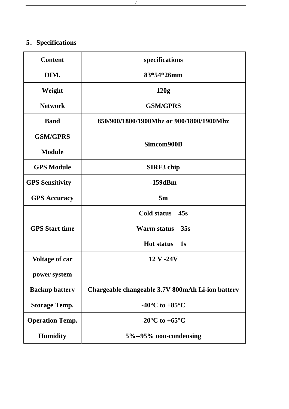# <span id="page-6-0"></span>**5**.**Specifications**

| <b>Content</b>         | specifications                                         |  |
|------------------------|--------------------------------------------------------|--|
| DIM.                   | 83*54*26mm                                             |  |
| Weight                 | 120g                                                   |  |
| <b>Network</b>         | <b>GSM/GPRS</b>                                        |  |
| <b>Band</b>            | 850/900/1800/1900Mhz or 900/1800/1900Mhz               |  |
| <b>GSM/GPRS</b>        |                                                        |  |
| <b>Module</b>          | Simcom900B                                             |  |
| <b>GPS Module</b>      | <b>SIRF3</b> chip                                      |  |
| <b>GPS Sensitivity</b> | $-159dBm$                                              |  |
| <b>GPS Accuracy</b>    | 5m                                                     |  |
|                        | Cold status 45s                                        |  |
| <b>GPS</b> Start time  | Warm status<br>35s                                     |  |
|                        | <b>Hot status</b><br>$\overline{\textbf{1}}\textbf{s}$ |  |
| <b>Voltage of car</b>  | 12 V -24V                                              |  |
| power system           |                                                        |  |
| <b>Backup battery</b>  | Chargeable changeable 3.7V 800mAh Li-ion battery       |  |
| <b>Storage Temp.</b>   | -40 $\mathrm{^{\circ}C}$ to +85 $\mathrm{^{\circ}C}$   |  |
| <b>Operation Temp.</b> | $-20^{\circ}$ C to $+65^{\circ}$ C                     |  |
| <b>Humidity</b>        | 5%--95% non-condensing                                 |  |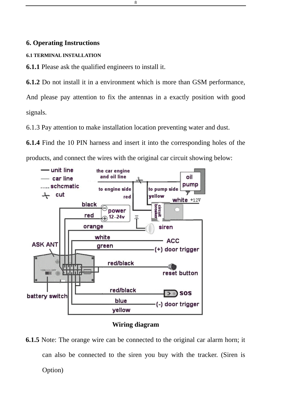#### <span id="page-7-0"></span>**6. Operating Instructions**

#### **6.1 TERMINAL INSTALLATION**

**6.1.1** Please ask the qualified engineers to install it.

**6.1.2** Do not install it in a environment which is more than GSM performance,

And please pay attention to fix the antennas in a exactly position with good signals.

6.1.3 Pay attention to make installation location preventing water and dust.

**6.1.4** Find the 10 PIN harness and insert it into the corresponding holes of the products, and connect the wires with the original car circuit showing below:



#### **Wiring diagram**

**6.1.5** Note: The orange wire can be connected to the original car alarm horn; it can also be connected to the siren you buy with the tracker. (Siren is Option)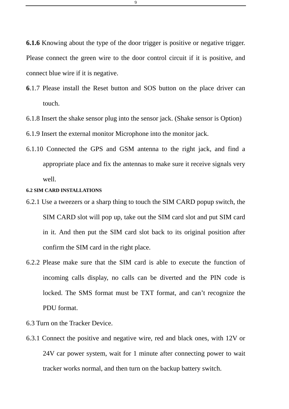**6.1.6** Knowing about the type of the door trigger is positive or negative trigger. Please connect the green wire to the door control circuit if it is positive, and connect blue wire if it is negative.

- **6**.1.7 Please install the Reset button and SOS button on the place driver can touch.
- 6.1.8 Insert the shake sensor plug into the sensor jack. (Shake sensor is Option)
- 6.1.9 Insert the external monitor Microphone into the monitor jack.
- 6.1.10 Connected the GPS and GSM antenna to the right jack, and find a appropriate place and fix the antennas to make sure it receive signals very well.

#### **6.2 SIM CARD INSTALLATIONS**

- 6.2.1 Use a tweezers or a sharp thing to touch the SIM CARD popup switch, the SIM CARD slot will pop up, take out the SIM card slot and put SIM card in it. And then put the SIM card slot back to its original position after confirm the SIM card in the right place.
- 6.2.2 Please make sure that the SIM card is able to execute the function of incoming calls display, no calls can be diverted and the PIN code is locked. The SMS format must be TXT format, and can't recognize the PDU format.
- 6.3 Turn on the Tracker Device.
- 6.3.1 Connect the positive and negative wire, red and black ones, with 12V or 24V car power system, wait for 1 minute after connecting power to wait tracker works normal, and then turn on the backup battery switch.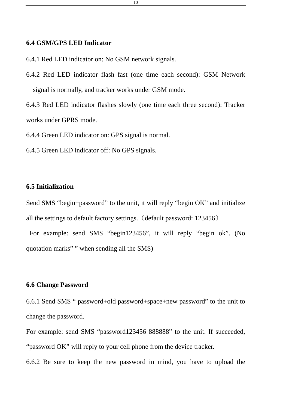#### <span id="page-9-0"></span>**6.4 GSM/GPS LED Indicator**

6.4.1 Red LED indicator on: No GSM network signals.

6.4.2 Red LED indicator flash fast (one time each second): GSM Network signal is normally, and tracker works under GSM mode.

6.4.3 Red LED indicator flashes slowly (one time each three second): Tracker works under GPRS mode.

6.4.4 Green LED indicator on: GPS signal is normal.

6.4.5 Green LED indicator off: No GPS signals.

# **6.5 Initialization**

Send SMS "begin+password" to the unit, it will reply "begin OK" and initialize all the settings to default factory settings. (default password: 123456)

 For example: send SMS "begin123456", it will reply "begin ok". (No quotation marks" " when sending all the SMS)

# **6.6 Change Password**

6.6.1 Send SMS " password+old password+space+new password" to the unit to change the password.

For example: send SMS "password123456 888888" to the unit. If succeeded, "password OK" will reply to your cell phone from the device tracker.

6.6.2 Be sure to keep the new password in mind, you have to upload the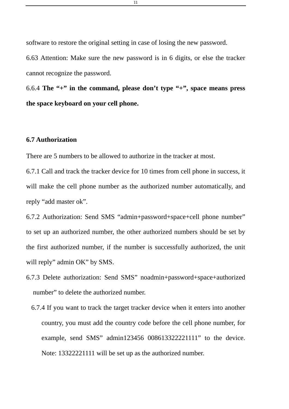<span id="page-10-0"></span>software to restore the original setting in case of losing the new password. 6.63 Attention: Make sure the new password is in 6 digits, or else the tracker cannot recognize the password.

6.6.4 **The "+" in the command, please don't type "+", space means press the space keyboard on your cell phone.**

# **6.7 Authorization**

There are 5 numbers to be allowed to authorize in the tracker at most.

6.7.1 Call and track the tracker device for 10 times from cell phone in success, it will make the cell phone number as the authorized number automatically, and reply "add master ok".

6.7.2 Authorization: Send SMS "admin+password+space+cell phone number" to set up an authorized number, the other authorized numbers should be set by the first authorized number, if the number is successfully authorized, the unit will reply" admin OK" by SMS.

- 6.7.3 Delete authorization: Send SMS" noadmin+password+space+authorized number" to delete the authorized number.
	- 6.7.4 If you want to track the target tracker device when it enters into another country, you must add the country code before the cell phone number, for example, send SMS" admin123456 008613322221111" to the device. Note: 13322221111 will be set up as the authorized number.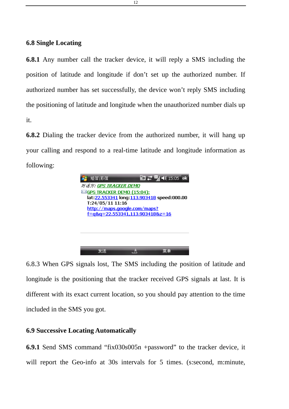# <span id="page-11-0"></span>**6.8 Single Locating**

**6.8.1** Any number call the tracker device, it will reply a SMS including the position of latitude and longitude if don't set up the authorized number. If authorized number has set successfully, the device won't reply SMS including the positioning of latitude and longitude when the unauthorized number dials up it.

**6.8.2** Dialing the tracker device from the authorized number, it will hang up your calling and respond to a real-time latitude and longitude information as following:

| 短信\彩信                               | ok                                         |  |
|-------------------------------------|--------------------------------------------|--|
| 对话方: GPS TRACKER DEMO               |                                            |  |
| <b>ESIGPS TRACKER DEMO (15:04):</b> |                                            |  |
|                                     | lat:22.553341 long:113.903418 speed:000.00 |  |
| T:24/05/11 11:16                    |                                            |  |
| http://maps.google.com/maps?        |                                            |  |
| f=q&q=22.553341,113.903418&z=16     |                                            |  |
|                                     |                                            |  |
|                                     |                                            |  |
|                                     |                                            |  |
|                                     |                                            |  |
|                                     |                                            |  |
|                                     |                                            |  |
|                                     |                                            |  |

6.8.3 When GPS signals lost, The SMS including the position of latitude and longitude is the positioning that the tracker received GPS signals at last. It is different with its exact current location, so you should pay attention to the time included in the SMS you got.

# **6.9 Successive Locating Automatically**

**6.9.1** Send SMS command "fix030s005n +password" to the tracker device, it will report the Geo-info at 30s intervals for 5 times. (s:second, m:minute,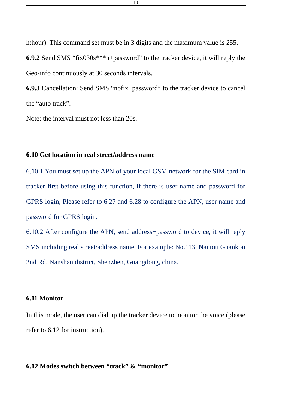<span id="page-12-0"></span>h:hour). This command set must be in 3 digits and the maximum value is 255.

**6.9.2** Send SMS "fix030s\*\*\*n+password" to the tracker device, it will reply the Geo-info continuously at 30 seconds intervals.

**6.9.3** Cancellation: Send SMS "nofix+password" to the tracker device to cancel the "auto track".

Note: the interval must not less than 20s.

### **6.10 Get location in real street/address name**

6.10.1 You must set up the APN of your local GSM network for the SIM card in tracker first before using this function, if there is user name and password for GPRS login, Please refer to 6.27 and 6.28 to configure the APN, user name and password for GPRS login.

6.10.2 After configure the APN, send address+password to device, it will reply SMS including real street/address name. For example: No.113, Nantou Guankou 2nd Rd. Nanshan district, Shenzhen, Guangdong, china.

### **6.11 Monitor**

In this mode, the user can dial up the tracker device to monitor the voice (please refer to 6.12 for instruction).

# **6.12 Modes switch between "track" & "monitor"**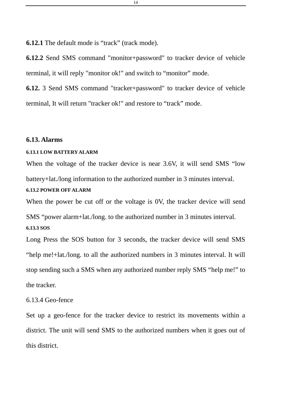<span id="page-13-0"></span>**6.12.1** The default mode is "track" (track mode).

**6.12.2** Send SMS command "monitor+password" to tracker device of vehicle terminal, it will reply "monitor ok!" and switch to "monitor" mode.

**6.12.** 3 Send SMS command "tracker+password" to tracker device of vehicle terminal, It will return "tracker ok!" and restore to "track" mode.

#### **6.13. Alarms**

#### **6.13.1 LOW BATTERY ALARM**

When the voltage of the tracker device is near 3.6V, it will send SMS "low battery+lat./long information to the authorized number in 3 minutes interval.

# **6.13.2 POWER OFF ALARM**

When the power be cut off or the voltage is 0V, the tracker device will send SMS "power alarm+lat./long. to the authorized number in 3 minutes interval. **6.13.3 SOS** 

Long Press the SOS button for 3 seconds, the tracker device will send SMS "help me!+lat./long. to all the authorized numbers in 3 minutes interval. It will stop sending such a SMS when any authorized number reply SMS "help me!" to the tracker.

#### 6.13.4 Geo-fence

Set up a geo-fence for the tracker device to restrict its movements within a district. The unit will send SMS to the authorized numbers when it goes out of this district.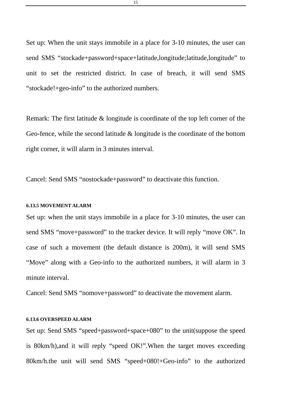<span id="page-14-0"></span>Set up: When the unit stays immobile in a place for 3-10 minutes, the user can send SMS "stockade+password+space+latitude,longitude;latitude,longitude" to unit to set the restricted district. In case of breach, it will send SMS "stockade!+geo-info" to the authorized numbers.

Remark: The first latitude & longitude is coordinate of the top left corner of the Geo-fence, while the second latitude & longitude is the coordinate of the bottom right corner, it will alarm in 3 minutes interval.

Cancel: Send SMS "nostockade+password" to deactivate this function.

#### **6.13.5 MOVEMENT ALARM**

Set up: when the unit stays immobile in a place for 3-10 minutes, the user can send SMS "move+password" to the tracker device. It will reply "move OK". In case of such a movement (the default distance is 200m), it will send SMS "Move" along with a Geo-info to the authorized numbers, it will alarm in 3 minute interval.

Cancel: Send SMS "nomove+password" to deactivate the movement alarm.

#### **6.13.6 OVERSPEED ALARM**

Set up: Send SMS "speed+password+space+080" to the unit(suppose the speed is 80km/h),and it will reply "speed OK!".When the target moves exceeding 80km/h.the unit will send SMS "speed+080!+Geo-info" to the authorized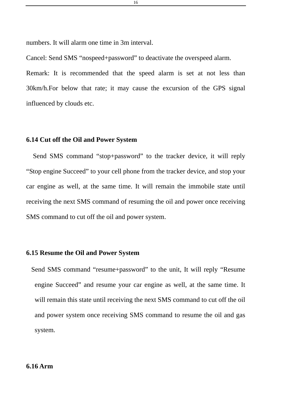<span id="page-15-0"></span>numbers. It will alarm one time in 3m interval.

Cancel: Send SMS "nospeed+password" to deactivate the overspeed alarm.

Remark: It is recommended that the speed alarm is set at not less than 30km/h.For below that rate; it may cause the excursion of the GPS signal influenced by clouds etc.

# **6.14 Cut off the Oil and Power System**

Send SMS command "stop+password" to the tracker device, it will reply "Stop engine Succeed" to your cell phone from the tracker device, and stop your car engine as well, at the same time. It will remain the immobile state until receiving the next SMS command of resuming the oil and power once receiving SMS command to cut off the oil and power system.

### **6.15 Resume the Oil and Power System**

Send SMS command "resume+password" to the unit, It will reply "Resume engine Succeed" and resume your car engine as well, at the same time. It will remain this state until receiving the next SMS command to cut off the oil and power system once receiving SMS command to resume the oil and gas system.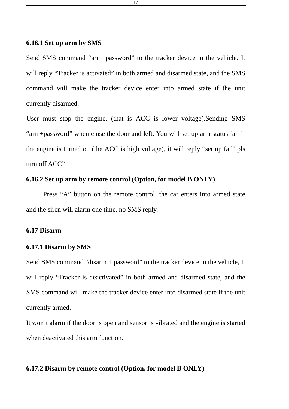### <span id="page-16-0"></span>**6.16.1 Set up arm by SMS**

Send SMS command "arm+password" to the tracker device in the vehicle. It will reply "Tracker is activated" in both armed and disarmed state, and the SMS command will make the tracker device enter into armed state if the unit currently disarmed.

User must stop the engine, (that is ACC is lower voltage).Sending SMS "arm+password" when close the door and left. You will set up arm status fail if the engine is turned on (the ACC is high voltage), it will reply "set up fail! pls turn off ACC"

# **6.16.2 Set up arm by remote control (Option, for model B ONLY)**

Press "A" button on the remote control, the car enters into armed state and the siren will alarm one time, no SMS reply.

#### **6.17 Disarm**

### **6.17.1 Disarm by SMS**

Send SMS command "disarm + password" to the tracker device in the vehicle, It will reply "Tracker is deactivated" in both armed and disarmed state, and the SMS command will make the tracker device enter into disarmed state if the unit currently armed.

It won't alarm if the door is open and sensor is vibrated and the engine is started when deactivated this arm function.

### **6.17.2 Disarm by remote control (Option, for model B ONLY)**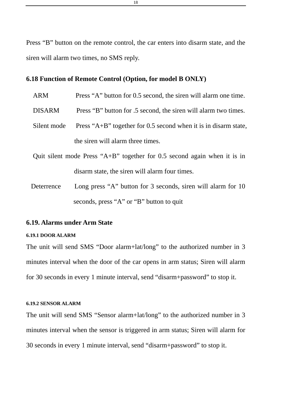<span id="page-17-0"></span>Press "B" button on the remote control, the car enters into disarm state, and the siren will alarm two times, no SMS reply.

### **6.18 Function of Remote Control (Option, for model B ONLY)**

|                                                | <b>ARM</b>    | Press "A" button for 0.5 second, the siren will alarm one time.              |
|------------------------------------------------|---------------|------------------------------------------------------------------------------|
|                                                | <b>DISARM</b> | Press "B" button for .5 second, the siren will alarm two times.              |
|                                                | Silent mode   | Press " $A+B$ " together for 0.5 second when it is in disarm state,          |
|                                                |               | the siren will alarm three times.                                            |
|                                                |               | Quit silent mode Press " $A+B$ " together for 0.5 second again when it is in |
| disarm state, the siren will alarm four times. |               |                                                                              |

Deterrence Long press "A" button for 3 seconds, siren will alarm for 10 seconds, press "A" or "B" button to quit

#### **6.19. Alarms under Arm State**

#### **6.19.1 DOOR ALARM**

The unit will send SMS "Door alarm+lat/long" to the authorized number in 3 minutes interval when the door of the car opens in arm status; Siren will alarm for 30 seconds in every 1 minute interval, send "disarm+password" to stop it.

#### **6.19.2 SENSOR ALARM**

The unit will send SMS "Sensor alarm+lat/long" to the authorized number in 3 minutes interval when the sensor is triggered in arm status; Siren will alarm for 30 seconds in every 1 minute interval, send "disarm+password" to stop it.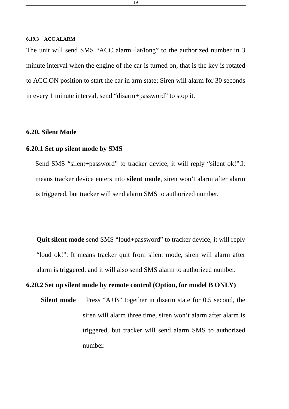#### <span id="page-18-0"></span>**6.19.3 ACC ALARM**

The unit will send SMS "ACC alarm+lat/long" to the authorized number in 3 minute interval when the engine of the car is turned on, that is the key is rotated to ACC.ON position to start the car in arm state; Siren will alarm for 30 seconds in every 1 minute interval, send "disarm+password" to stop it.

# **6.20. Silent Mode**

# **6.20.1 Set up silent mode by SMS**

Send SMS "silent+password" to tracker device, it will reply "silent ok!".It means tracker device enters into **silent mode**, siren won't alarm after alarm is triggered, but tracker will send alarm SMS to authorized number.

**Quit silent mode** send SMS "loud+password" to tracker device, it will reply "loud ok!". It means tracker quit from silent mode, siren will alarm after alarm is triggered, and it will also send SMS alarm to authorized number.

# **6.20.2 Set up silent mode by remote control (Option, for model B ONLY)**

**Silent mode** Press "A+B" together in disarm state for 0.5 second, the siren will alarm three time, siren won't alarm after alarm is triggered, but tracker will send alarm SMS to authorized number.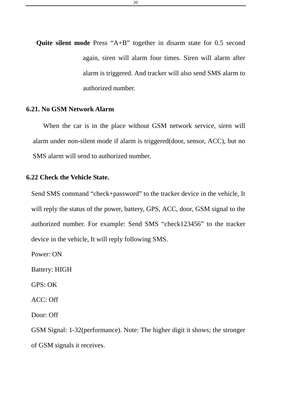<span id="page-19-0"></span>**Quite silent mode** Press "A+B" together in disarm state for 0.5 second again, siren will alarm four times. Siren will alarm after alarm is triggered. And tracker will also send SMS alarm to authorized number.

### **6.21. No GSM Network Alarm**

When the car is in the place without GSM network service, siren will alarm under non-silent mode if alarm is triggered(door, sensor, ACC), but no SMS alarm will send to authorized number.

### **6.22 Check the Vehicle State.**

Send SMS command "check+password" to the tracker device in the vehicle, It will reply the status of the power, battery, GPS, ACC, door, GSM signal to the authorized number. For example: Send SMS "check123456" to the tracker device in the vehicle, It will reply following SMS.

Power: ON

Battery: HIGH

GPS: OK

ACC: Off

Door: Off

GSM Signal: 1-32(performance). Note: The higher digit it shows; the stronger of GSM signals it receives.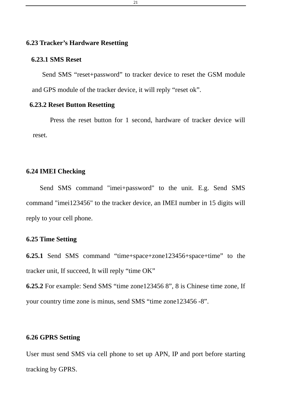# <span id="page-20-0"></span>**6.23 Tracker's Hardware Resetting**

#### **6.23.1 SMS Reset**

Send SMS "reset+password" to tracker device to reset the GSM module and GPS module of the tracker device, it will reply "reset ok".

# **6.23.2 Reset Button Resetting**

Press the reset button for 1 second, hardware of tracker device will reset.

### **6.24 IMEI Checking**

Send SMS command "imei+password" to the unit. E.g. Send SMS command "imei123456" to the tracker device, an IMEI number in 15 digits will reply to your cell phone.

# **6.25 Time Setting**

**6.25.1** Send SMS command "time+space+zone123456+space+time" to the tracker unit, If succeed, It will reply "time OK"

**6.25.2** For example: Send SMS "time zone123456 8", 8 is Chinese time zone, If your country time zone is minus, send SMS "time zone123456 -8".

### **6.26 GPRS Setting**

User must send SMS via cell phone to set up APN, IP and port before starting tracking by GPRS.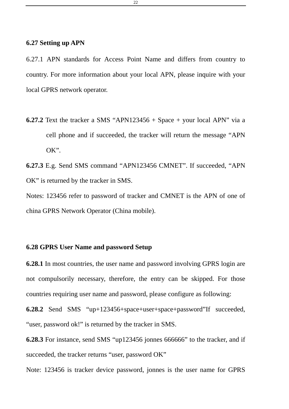# <span id="page-21-0"></span>**6.27 Setting up APN**

6.27.1 APN standards for Access Point Name and differs from country to country. For more information about your local APN, please inquire with your local GPRS network operator.

**6.27.2** Text the tracker a SMS "APN123456 + Space + your local APN" via a cell phone and if succeeded, the tracker will return the message "APN OK".

**6.27.3** E.g. Send SMS command "APN123456 CMNET". If succeeded, "APN OK" is returned by the tracker in SMS.

Notes: 123456 refer to password of tracker and CMNET is the APN of one of china GPRS Network Operator (China mobile).

# **6.28 GPRS User Name and password Setup**

**6.28.1** In most countries, the user name and password involving GPRS login are not compulsorily necessary, therefore, the entry can be skipped. For those countries requiring user name and password, please configure as following:

**6.28.2** Send SMS "up+123456+space+user+space+password"If succeeded, "user, password ok!" is returned by the tracker in SMS.

**6.28.3** For instance, send SMS "up123456 jonnes 666666" to the tracker, and if succeeded, the tracker returns "user, password OK"

Note: 123456 is tracker device password, jonnes is the user name for GPRS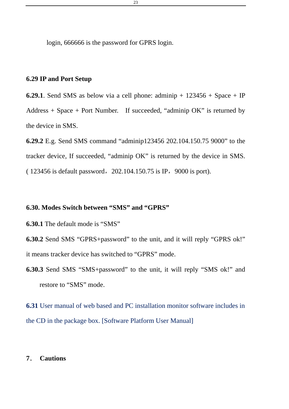<span id="page-22-0"></span>login, 666666 is the password for GPRS login.

# **6.29 IP and Port Setup**

**6.29.1**. Send SMS as below via a cell phone: adminip  $+ 123456 + Space + IP$ Address + Space + Port Number. If succeeded, "adminip OK" is returned by the device in SMS.

**6.29.2** E.g. Send SMS command "adminip123456 202.104.150.75 9000" to the tracker device, If succeeded, "adminip OK" is returned by the device in SMS. ( 123456 is default password, 202.104.150.75 is IP, 9000 is port).

# **6.30. Modes Switch between "SMS" and "GPRS"**

**6.30.1** The default mode is "SMS"

**6.30.2** Send SMS "GPRS+password" to the unit, and it will reply "GPRS ok!" it means tracker device has switched to "GPRS" mode.

**6.30.3** Send SMS "SMS+password" to the unit, it will reply "SMS ok!" and restore to "SMS" mode.

**6.31** User manual of web based and PC installation monitor software includes in the CD in the package box. [Software Platform User Manual]

#### **7**. **Cautions**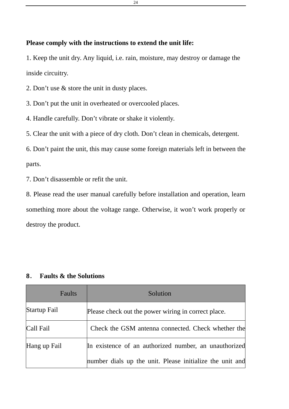# <span id="page-23-0"></span>**Please comply with the instructions to extend the unit life:**

1. Keep the unit dry. Any liquid, i.e. rain, moisture, may destroy or damage the inside circuitry.

2. Don't use & store the unit in dusty places.

3. Don't put the unit in overheated or overcooled places.

4. Handle carefully. Don't vibrate or shake it violently.

5. Clear the unit with a piece of dry cloth. Don't clean in chemicals, detergent.

6. Don't paint the unit, this may cause some foreign materials left in between the parts.

7. Don't disassemble or refit the unit.

8. Please read the user manual carefully before installation and operation, learn something more about the voltage range. Otherwise, it won't work properly or destroy the product.

| Faults       | Solution                                                 |
|--------------|----------------------------------------------------------|
| Startup Fail | Please check out the power wiring in correct place.      |
| Call Fail    | Check the GSM antenna connected. Check whether the       |
| Hang up Fail | In existence of an authorized number, an unauthorized    |
|              | number dials up the unit. Please initialize the unit and |

## **8**. **Faults & the Solutions**